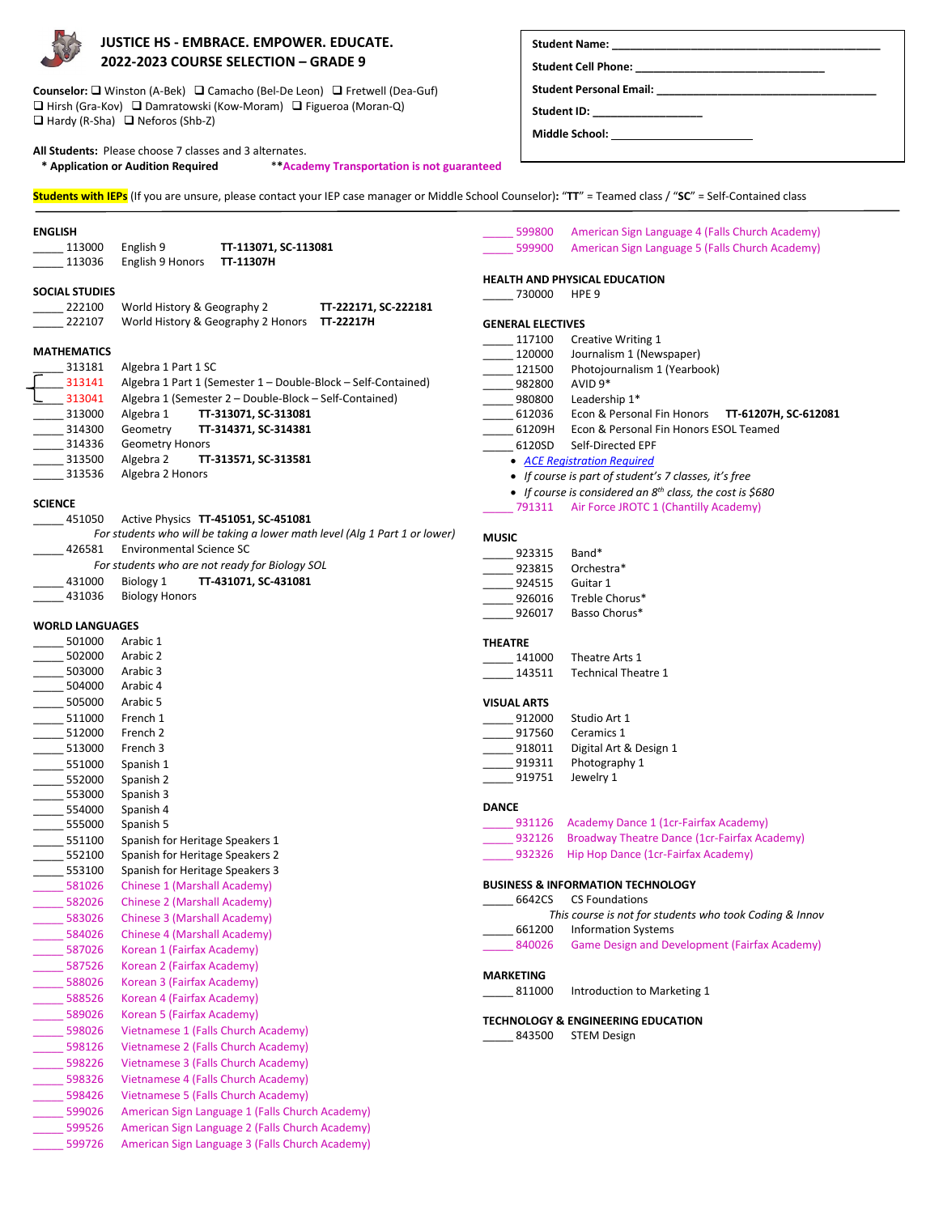

# **JUSTICE HS - EMBRACE. EMPOWER. EDUCATE. 2022-2023 COURSE SELECTION – GRADE 9**

Counselor: □ Winston (A-Bek) □ Camacho (Bel-De Leon) □ Fretwell (Dea-Guf) □ Hirsh (Gra-Kov) □ Damratowski (Kow-Moram) □ Figueroa (Moran-Q)  $\Box$  Hardy (R-Sha)  $\Box$  Neforos (Shb-Z)

**All Students:** Please choose 7 classes and 3 alternates.  **\* Application or Audition Required** \***\*Academy Transportation is not guaranteed**

| <b>Student Name:</b> |  |
|----------------------|--|
|                      |  |
|                      |  |

Student Cell Phone: **Student Personal Email: \_\_\_\_\_\_\_\_\_\_\_\_\_\_\_\_\_\_\_\_\_\_\_\_\_\_\_\_\_\_\_\_\_\_\_\_**

Student **ID**:

**Middle School:** 

**Students with IEPs** (If you are unsure, please contact your IEP case manager or Middle School Counselor)**:** "**TT**" = Teamed class / "**SC**" = Self-Contained class **ENGLISH** \_\_\_\_\_ 113000 English 9 **TT-113071, SC-113081** \_\_\_\_\_ 113036 English 9 Honors **TT-11307H SOCIAL STUDIES** \_\_\_\_\_ 222100 World History & Geography 2 **TT-222171, SC-222181** \_\_\_\_\_ 222107 World History & Geography 2 Honors **TT-22217H MATHEMATICS** Algebra 1 Part 1 SC \_ 313141 Algebra 1 Part 1 (Semester 1 – Double-Block – Self-Contained)<br>\_ 313041 Algebra 1 (Semester 2 – Double-Block – Self-Contained) 13041 Algebra 1 (Semester 2 – Double-Block – Self-Contained)<br>1313000 Algebra 1 **11-313071, SC-313081** \_\_\_\_\_ 313000 Algebra 1 **TT-313071, SC-313081** \_\_\_\_\_ 314300 Geometry **TT-314371, SC-314381** 314336 Geometry Honors \_\_\_\_\_ 313500 Algebra 2 **TT-313571, SC-313581** \_\_\_\_\_ 313536 Algebra 2 Honors **SCIENCE** \_\_\_\_\_ 451050 Active Physics **TT-451051, SC-451081** *For students who will be taking a lower math level (Alg 1 Part 1 or lower)* \_426581 Environmental Science SC *For students who are not ready for Biology SOL* \_\_\_\_\_ 431000 Biology 1 **TT-431071, SC-431081** \_431036 Biology Honors **WORLD LANGUAGES** \_\_\_\_\_ 501000 Arabic 1 \_\_\_\_\_ 502000 Arabic 2 \_\_\_\_\_ 503000 Arabic 3 \_\_\_\_\_ 504000 Arabic 4 \_\_\_\_\_ 505000 Arabic 5 \_\_\_\_\_ 511000 French 1 \_\_\_\_\_ 512000 French 2 \_\_\_\_\_ 513000 French 3 \_\_\_\_\_ 551000 Spanish 1 \_\_\_\_\_ 552000 Spanish 2 \_\_\_\_\_ 553000 Spanish 3 \_\_\_\_\_ 554000 Spanish 4 \_\_\_\_\_ 555000 Spanish 5 \_\_\_\_\_ 551100 Spanish for Heritage Speakers 1 552100 Spanish for Heritage Speakers 2 553100 Spanish for Heritage Speakers 3 \_581026 Chinese 1 (Marshall Academy) \_\_\_\_\_ 582026 Chinese 2 (Marshall Academy) \_\_\_\_\_ 583026 Chinese 3 (Marshall Academy) 584026 Chinese 4 (Marshall Academy) 587026 Korean 1 (Fairfax Academy) 587526 Korean 2 (Fairfax Academy) 588026 Korean 3 (Fairfax Academy) 588526 Korean 4 (Fairfax Academy) 589026 Korean 5 (Fairfax Academy) 598026 Vietnamese 1 (Falls Church Academy) \_\_\_\_\_ 598126 Vietnamese 2 (Falls Church Academy) 598226 Vietnamese 3 (Falls Church Academy) 598326 Vietnamese 4 (Falls Church Academy) 598426 Vietnamese 5 (Falls Church Academy) \_\_\_\_\_ 599026 American Sign Language 1 (Falls Church Academy) \_\_\_\_\_ 599526 American Sign Language 2 (Falls Church Academy) \_\_\_\_\_ 599726 American Sign Language 3 (Falls Church Academy) 599800 American Sign Language 4 (Falls Church Academy) \_\_\_\_\_ 599900 American Sign Language 5 (Falls Church Academy) **HEALTH AND PHYSICAL EDUCATION** \_\_\_\_\_ 730000 HPE 9 **GENERAL ELECTIVES** \_117100 Creative Writing 1 \_120000 Journalism 1 (Newspaper) \_121500 Photojournalism 1 (Yearbook) \_\_\_\_\_ 982800 AVID 9\*  $-980800$  Leadership  $1^*$ \_\_\_\_\_ 612036 Econ & Personal Fin Honors **TT-61207H, SC-612081** 61209H Econ & Personal Fin Honors ESOL Teamed \_\_\_\_\_ 6120SD Self-Directed EPF • *[ACE Registration Required](https://aceclasses.fcps.edu/AcademicSubjectListing.aspx?CategoryID=10481&ProgramID=443&ProgCatgName=High%20School%20-%20EPF&IsCourse=1&SubjectID=10836&AreaName=Self-Directed%20OL%20Economics%20and%20Personal%20Finance)* • *If course is part of student's 7 classes, it's free* • *If course is considered an 8th class, the cost is \$680* \_\_\_\_\_ 791311 Air Force JROTC 1 (Chantilly Academy) **MUSIC** 923315 Band\* \_\_ 923815 Orchestra\*<br>\_\_ 924515 Guitar 1 924515 926016 Treble Chorus\* \_926017 Basso Chorus\* **THEATRE** \_\_\_\_\_ 141000 Theatre Arts 1 Technical Theatre 1 **VISUAL ARTS** \_\_\_\_\_ 912000 Studio Art 1 \_\_\_\_\_ 917560 Ceramics 1 \_918011 Digital Art & Design 1 \_\_ 919311 Photography 1 \_\_\_\_\_ 919751 Jewelry 1 **DANCE** 931126 Academy Dance 1 (1cr-Fairfax Academy) 932126 Broadway Theatre Dance (1cr-Fairfax Academy) \_932326 Hip Hop Dance (1cr-Fairfax Academy) **BUSINESS & INFORMATION TECHNOLOGY** \_\_\_\_\_ 6642CS CS Foundations *This course is not for students who took Coding & Innov* \_\_\_\_\_ 661200 Information Systems \_840026 Game Design and Development (Fairfax Academy) **MARKETING** 811000 Introduction to Marketing 1 **TECHNOLOGY & ENGINEERING EDUCATION**  \_843500 STEM Design